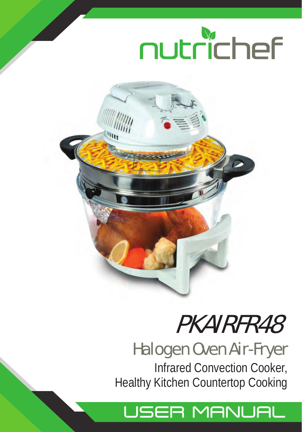



## PKAIRFR48

### Halogen Oven Air-Fryer

Infrared Convection Cooker, Healthy Kitchen Countertop Cooking

## USER MANUAL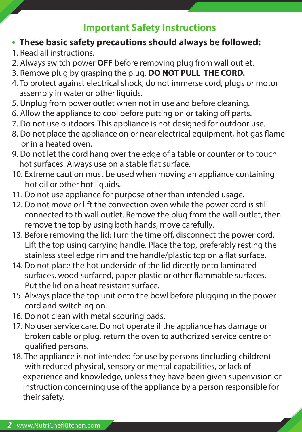#### **Important Safety Instructions**

- **• These basic safety precautions should always be followed:**
- 1. Read all instructions.
- 2. Always switch power **OFF** before removing plug from wall outlet.
- 3. Remove plug by grasping the plug. **DO NOT PULL THE CORD.**
- 4. To protect against electrical shock, do not immerse cord, plugs or motor assembly in water or other liquids.
- 5. Unplug from power outlet when not in use and before cleaning.
- 6. Allow the appliance to cool before putting on or taking off parts.
- 7. Do not use outdoors. This appliance is not designed for outdoor use.
- 8. Do not place the appliance on or near electrical equipment, hot gas flame or in a heated oven.
- 9. Do not let the cord hang over the edge of a table or counter or to touch hot surfaces. Always use on a stable flat surface.
- 10. Extreme caution must be used when moving an appliance containing hot oil or other hot liquids.
- 11. Do not use appliance for purpose other than intended usage.
- 12. Do not move or lift the convection oven while the power cord is still connected to th wall outlet. Remove the plug from the wall outlet, then remove the top by using both hands, move carefully.
- 13. Before removing the lid: Turn the time off, disconnect the power cord. Lift the top using carrying handle. Place the top, preferably resting the stainless steel edge rim and the handle/plastic top on a flat surface.
- 14. Do not place the hot underside of the lid directly onto laminated surfaces, wood surfaced, paper plastic or other flammable surfaces. Put the lid on a heat resistant surface.
- 15. Always place the top unit onto the bowl before plugging in the power cord and switching on.
- 16. Do not clean with metal scouring pads.
- 17. No user service care. Do not operate if the appliance has damage or broken cable or plug, return the oven to authorized service centre or qualified persons.
- 18. The appliance is not intended for use by persons (including children) with reduced physical, sensory or mental capabilities, or lack of experience and knowledge, unless they have been given superivision or instruction concerning use of the appliance by a person responsible for their safety.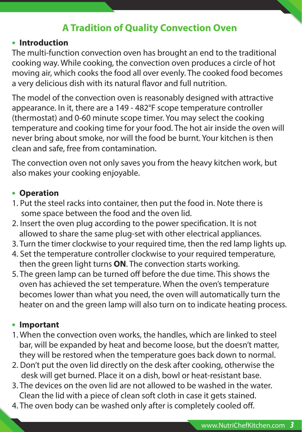#### **A Tradition of Quality Convection Oven**

#### **• Introduction**

The multi-function convection oven has brought an end to the traditional cooking way. While cooking, the convection oven produces a circle of hot moving air, which cooks the food all over evenly. The cooked food becomes a very delicious dish with its natural flavor and full nutrition.

The model of the convection oven is reasonably designed with attractive appearance. In it, there are a 149 - 482°F scope temperature controller (thermostat) and 0-60 minute scope timer. You may select the cooking temperature and cooking time for your food. The hot air inside the oven will never bring about smoke, nor will the food be burnt. Your kitchen is then clean and safe, free from contamination.

The convection oven not only saves you from the heavy kitchen work, but also makes your cooking enjoyable.

#### **• Operation**

- 1. Put the steel racks into container, then put the food in. Note there is some space between the food and the oven lid.
- 2. Insert the oven plug according to the power specification. It is not allowed to share the same plug-set with other electrical appliances.
- 3. Turn the timer clockwise to your required time, then the red lamp lights up.
- 4. Set the temperature controller clockwise to your required temperature, then the green light turns **ON**. The convection starts working.
- 5. The green lamp can be turned off before the due time. This shows the oven has achieved the set temperature. When the oven's temperature becomes lower than what you need, the oven will automatically turn the heater on and the green lamp will also turn on to indicate heating process.

#### **• Important**

- 1. When the convection oven works, the handles, which are linked to steel bar, will be expanded by heat and become loose, but the doesn't matter, they will be restored when the temperature goes back down to normal.
- 2. Don't put the oven lid directly on the desk after cooking, otherwise the desk will get burned. Place it on a dish, bowl or heat-resistant base.
- 3. The devices on the oven lid are not allowed to be washed in the water. Clean the lid with a piece of clean soft cloth in case it gets stained.
- 4. The oven body can be washed only after is completely cooled off.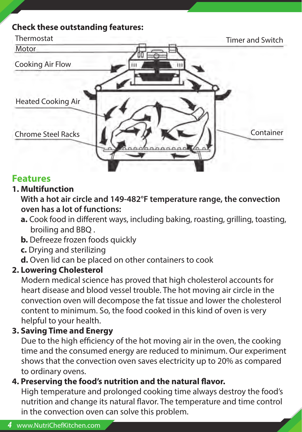#### **Check these outstanding features:**



#### **Features**

#### **1. Multifunction**

 **With a hot air circle and 149-482°F temperature range, the convection oven has a lot of functions:**

- **a.** Cook food in different ways, including baking, roasting, grilling, toasting, broiling and BBQ .
- **b.** Defreeze frozen foods quickly
- **c.** Drying and sterilizing
- **d.** Oven lid can be placed on other containers to cook

#### **2. Lowering Cholesterol**

 Modern medical science has proved that high cholesterol accounts for heart disease and blood vessel trouble. The hot moving air circle in the convection oven will decompose the fat tissue and lower the cholesterol content to minimum. So, the food cooked in this kind of oven is very helpful to your health.

#### **3. Saving Time and Energy**

 Due to the high efficiency of the hot moving air in the oven, the cooking time and the consumed energy are reduced to minimum. Our experiment shows that the convection oven saves electricity up to 20% as compared to ordinary ovens.

#### **4. Preserving the food's nutrition and the natural flavor.**

 High temperature and prolonged cooking time always destroy the food's nutrition and change its natural flavor. The temperature and time control in the convection oven can solve this problem.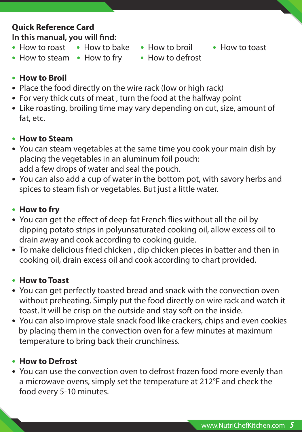#### **Quick Reference Card In this manual, you will find:**

- **•** How to roast **•** How to bake **•** How to broil **•** How to toast
- 
- 
- **•** How to steam **•** How to fry **•** How to defrost
- 

- **• How to Broil**
- **•** Place the food directly on the wire rack (low or high rack)
- **•** For very thick cuts of meat , turn the food at the halfway point
- **•** Like roasting, broiling time may vary depending on cut, size, amount of fat, etc.
- **• How to Steam**
- You can steam vegetables at the same time you cook your main dish by placing the vegetables in an aluminum foil pouch: add a few drops of water and seal the pouch.
- You can also add a cup of water in the bottom pot, with savory herbs and spices to steam fish or vegetables. But just a little water.
- **• How to fry**
- You can get the effect of deep-fat French flies without all the oil by dipping potato strips in polyunsaturated cooking oil, allow excess oil to drain away and cook according to cooking guide.
- To make delicious fried chicken , dip chicken pieces in batter and then in cooking oil, drain excess oil and cook according to chart provided.

#### **• How to Toast**

- You can get perfectly toasted bread and snack with the convection oven without preheating. Simply put the food directly on wire rack and watch it toast. It will be crisp on the outside and stay soft on the inside.
- You can also improve stale snack food like crackers, chips and even cookies by placing them in the convection oven for a few minutes at maximum temperature to bring back their crunchiness.

#### **• How to Defrost**

**•** You can use the convection oven to defrost frozen food more evenly than a microwave ovens, simply set the temperature at 212°F and check the food every 5-10 minutes.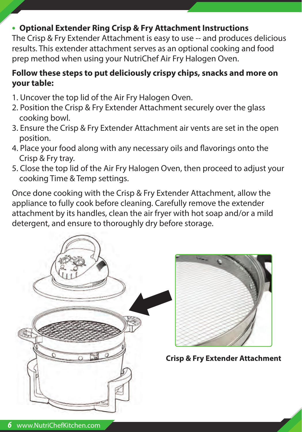#### **• Optional Extender Ring Crisp & Fry Attachment Instructions**

The Crisp & Fry Extender Attachment is easy to use -- and produces delicious results. This extender attachment serves as an optional cooking and food prep method when using your NutriChef Air Fry Halogen Oven.

#### **Follow these steps to put deliciously crispy chips, snacks and more on your table:**

- 1. Uncover the top lid of the Air Fry Halogen Oven.
- 2. Position the Crisp & Fry Extender Attachment securely over the glass cooking bowl.
- 3. Ensure the Crisp & Fry Extender Attachment air vents are set in the open position.
- 4. Place your food along with any necessary oils and flavorings onto the Crisp & Fry tray.
- 5. Close the top lid of the Air Fry Halogen Oven, then proceed to adjust your cooking Time & Temp settings.

Once done cooking with the Crisp & Fry Extender Attachment, allow the appliance to fully cook before cleaning. Carefully remove the extender attachment by its handles, clean the air fryer with hot soap and/or a mild detergent, and ensure to thoroughly dry before storage.





**Crisp & Fry Extender Attachment**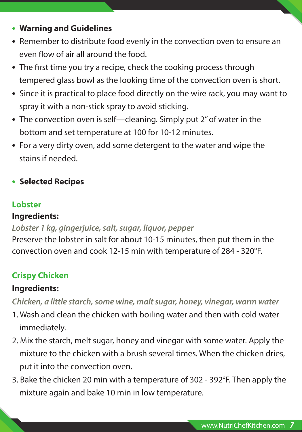- **• Warning and Guidelines**
- Remember to distribute food evenly in the convection oven to ensure an even flow of air all around the food.
- The first time you try a recipe, check the cooking process through tempered glass bowl as the looking time of the convection oven is short.
- Since it is practical to place food directly on the wire rack, you may want to spray it with a non-stick spray to avoid sticking.
- The convection oven is self—cleaning. Simply put 2" of water in the bottom and set temperature at 100 for 10-12 minutes.
- For a very dirty oven, add some detergent to the water and wipe the stains if needed.
- **• Selected Recipes**

#### **Lobster**

#### **Ingredients:**

#### *Lobster 1 kg, gingerjuice, salt, sugar, liquor, pepper*

Preserve the lobster in salt for about 10-15 minutes, then put them in the convection oven and cook 12-15 min with temperature of 284 - 320°F.

#### **Crispy Chicken**

#### **Ingredients:**

*Chicken, a little starch, some wine, malt sugar, honey, vinegar, warm water*

- 1. Wash and clean the chicken with boiling water and then with cold water immediately.
- 2. Mix the starch, melt sugar, honey and vinegar with some water. Apply the mixture to the chicken with a brush several times. When the chicken dries, put it into the convection oven.
- 3. Bake the chicken 20 min with a temperature of 302 392°F. Then apply the mixture again and bake 10 min in low temperature.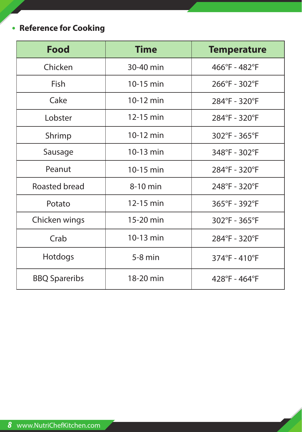#### **• Reference for Cooking**

| <b>Food</b>          | <b>Time</b> | <b>Temperature</b> |
|----------------------|-------------|--------------------|
| Chicken              | 30-40 min   | 466°F - 482°F      |
| Fish                 | 10-15 min   | 266°F - 302°F      |
| Cake                 | 10-12 min   | 284°F - 320°F      |
| Lobster              | 12-15 min   | 284°F - 320°F      |
| Shrimp               | $10-12$ min | 302°F - 365°F      |
| Sausage              | 10-13 min   | 348°F - 302°F      |
| Peanut               | 10-15 min   | 284°F - 320°F      |
| Roasted bread        | 8-10 min    | 248°F - 320°F      |
| Potato               | 12-15 min   | 365°F - 392°F      |
| Chicken wings        | 15-20 min   | 302°F - 365°F      |
| Crab                 | 10-13 min   | 284°F - 320°F      |
| Hotdogs              | $5-8$ min   | 374°F - 410°F      |
| <b>BBQ Spareribs</b> | 18-20 min   | 428°F - 464°F      |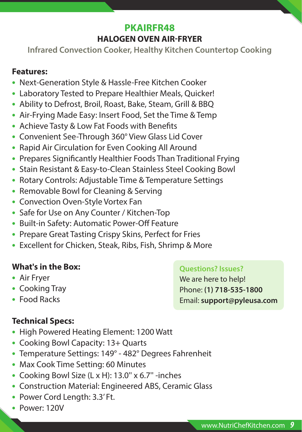#### **PKAIRFR48 HALOGEN OVEN AIR-FRYER**

**Infrared Convection Cooker, Healthy Kitchen Countertop Cooking**

#### **Features:**

- **•** Next-Generation Style & Hassle-Free Kitchen Cooker
- **•** Laboratory Tested to Prepare Healthier Meals, Quicker!
- **•** Ability to Defrost, Broil, Roast, Bake, Steam, Grill & BBQ
- **•** Air-Frying Made Easy: Insert Food, Set the Time & Temp
- Achieve Tasty & Low Fat Foods with Benefits
- **•** Convenient See-Through 360° View Glass Lid Cover
- **•** Rapid Air Circulation for Even Cooking All Around
- Prepares Significantly Healthier Foods Than Traditional Frying
- **•** Stain Resistant & Easy-to-Clean Stainless Steel Cooking Bowl
- **•** Rotary Controls: Adjustable Time & Temperature Settings
- **•** Removable Bowl for Cleaning & Serving
- **•** Convection Oven-Style Vortex Fan
- **•** Safe for Use on Any Counter / Kitchen-Top
- Built-in Safety: Automatic Power-Off Feature
- **•** Prepare Great Tasting Crispy Skins, Perfect for Fries
- **•** Excellent for Chicken, Steak, Ribs, Fish, Shrimp & More

#### **What's in the Box:**

- **•** Air Fryer
- **•** Cooking Tray
- **•** Food Racks

#### **Technical Specs:**

- **•** High Powered Heating Element: 1200 Watt
- **•** Cooking Bowl Capacity: 13+ Quarts
- **•** Temperature Settings: 149° 482° Degrees Fahrenheit
- **•** Max Cook Time Setting: 60 Minutes
- **•** Cooking Bowl Size (L x H): 13.0'' x 6.7'' -inches
- **•** Construction Material: Engineered ABS, Ceramic Glass
- **•** Power Cord Length: 3.3' Ft.
- **•** Power: 120V

#### **Questions? Issues?**

We are here to help! Phone: **(1) 718-535-1800** Email: **support@pyleusa.com**